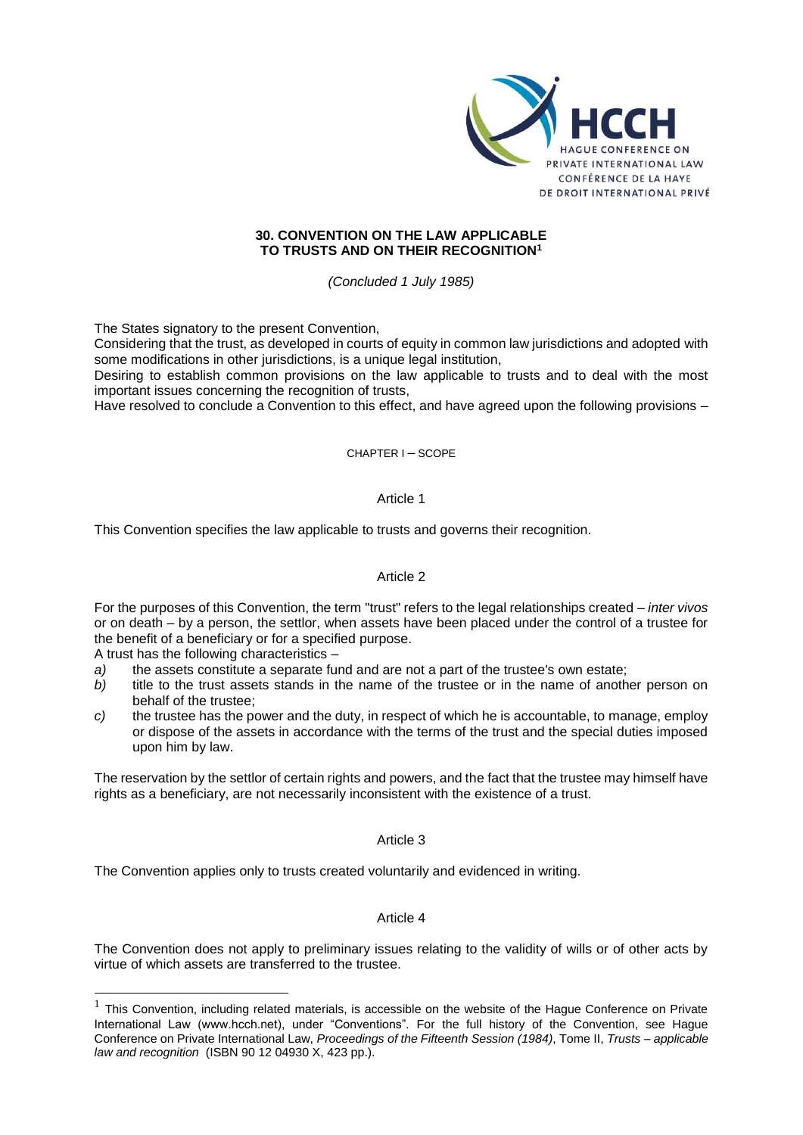

## **30. CONVENTION ON THE LAW APPLICABLE TO TRUSTS AND ON THEIR RECOGNITION<sup>1</sup>**

*(Concluded 1 July 1985)*

The States signatory to the present Convention,

Considering that the trust, as developed in courts of equity in common law jurisdictions and adopted with some modifications in other jurisdictions, is a unique legal institution,

Desiring to establish common provisions on the law applicable to trusts and to deal with the most important issues concerning the recognition of trusts,

Have resolved to conclude a Convention to this effect, and have agreed upon the following provisions –

## CHAPTER I – SCOPE

## Article 1

This Convention specifies the law applicable to trusts and governs their recognition.

# Article 2

For the purposes of this Convention, the term "trust" refers to the legal relationships created – *inter vivos* or on death – by a person, the settlor, when assets have been placed under the control of a trustee for the benefit of a beneficiary or for a specified purpose.

A trust has the following characteristics –

l

- *a)* the assets constitute a separate fund and are not a part of the trustee's own estate;
- *b)* title to the trust assets stands in the name of the trustee or in the name of another person on behalf of the trustee;
- *c)* the trustee has the power and the duty, in respect of which he is accountable, to manage, employ or dispose of the assets in accordance with the terms of the trust and the special duties imposed upon him by law.

The reservation by the settlor of certain rights and powers, and the fact that the trustee may himself have rights as a beneficiary, are not necessarily inconsistent with the existence of a trust.

### Article 3

The Convention applies only to trusts created voluntarily and evidenced in writing.

# Article 4

The Convention does not apply to preliminary issues relating to the validity of wills or of other acts by virtue of which assets are transferred to the trustee.

 $1$  This Convention, including related materials, is accessible on the website of the Hague Conference on Private International Law (www.hcch.net), under "Conventions". For the full history of the Convention, see Hague Conference on Private International Law, *Proceedings of the Fifteenth Session (1984)*, Tome II, *Trusts – applicable law and recognition* (ISBN 90 12 04930 X, 423 pp.).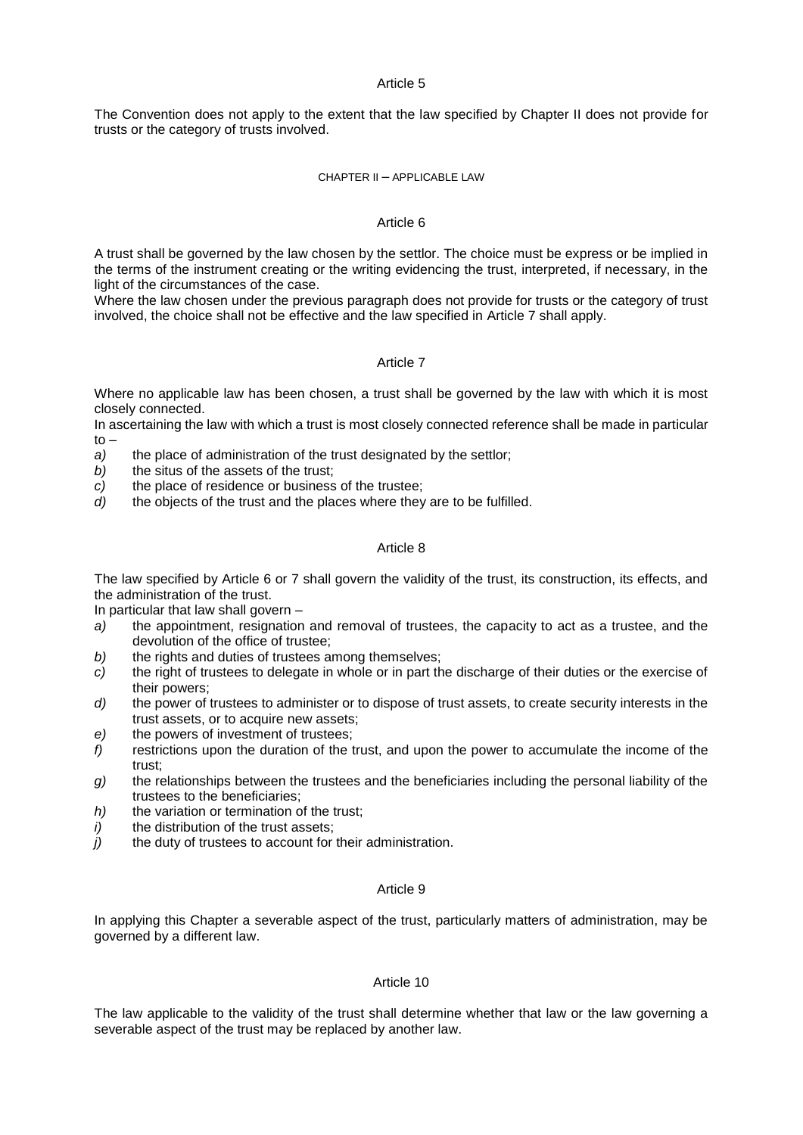#### Article 5

The Convention does not apply to the extent that the law specified by Chapter II does not provide for trusts or the category of trusts involved.

#### CHAPTER II – APPLICABLE LAW

### Article 6

A trust shall be governed by the law chosen by the settlor. The choice must be express or be implied in the terms of the instrument creating or the writing evidencing the trust, interpreted, if necessary, in the light of the circumstances of the case.

Where the law chosen under the previous paragraph does not provide for trusts or the category of trust involved, the choice shall not be effective and the law specified in Article 7 shall apply.

#### Article 7

Where no applicable law has been chosen, a trust shall be governed by the law with which it is most closely connected.

In ascertaining the law with which a trust is most closely connected reference shall be made in particular to  $-$ 

- *a)* the place of administration of the trust designated by the settlor;
- *b)* the situs of the assets of the trust;
- *c)* the place of residence or business of the trustee;
- *d)* the objects of the trust and the places where they are to be fulfilled.

#### Article 8

The law specified by Article 6 or 7 shall govern the validity of the trust, its construction, its effects, and the administration of the trust.

In particular that law shall govern –

- *a)* the appointment, resignation and removal of trustees, the capacity to act as a trustee, and the devolution of the office of trustee;
- *b)* the rights and duties of trustees among themselves;
- *c)* the right of trustees to delegate in whole or in part the discharge of their duties or the exercise of their powers;
- *d)* the power of trustees to administer or to dispose of trust assets, to create security interests in the trust assets, or to acquire new assets;
- *e)* the powers of investment of trustees;
- *f)* restrictions upon the duration of the trust, and upon the power to accumulate the income of the trust;
- *g)* the relationships between the trustees and the beneficiaries including the personal liability of the trustees to the beneficiaries;
- *h)* the variation or termination of the trust;
- *i*) the distribution of the trust assets;
- *j)* the duty of trustees to account for their administration.

#### Article 9

In applying this Chapter a severable aspect of the trust, particularly matters of administration, may be governed by a different law.

### Article 10

The law applicable to the validity of the trust shall determine whether that law or the law governing a severable aspect of the trust may be replaced by another law.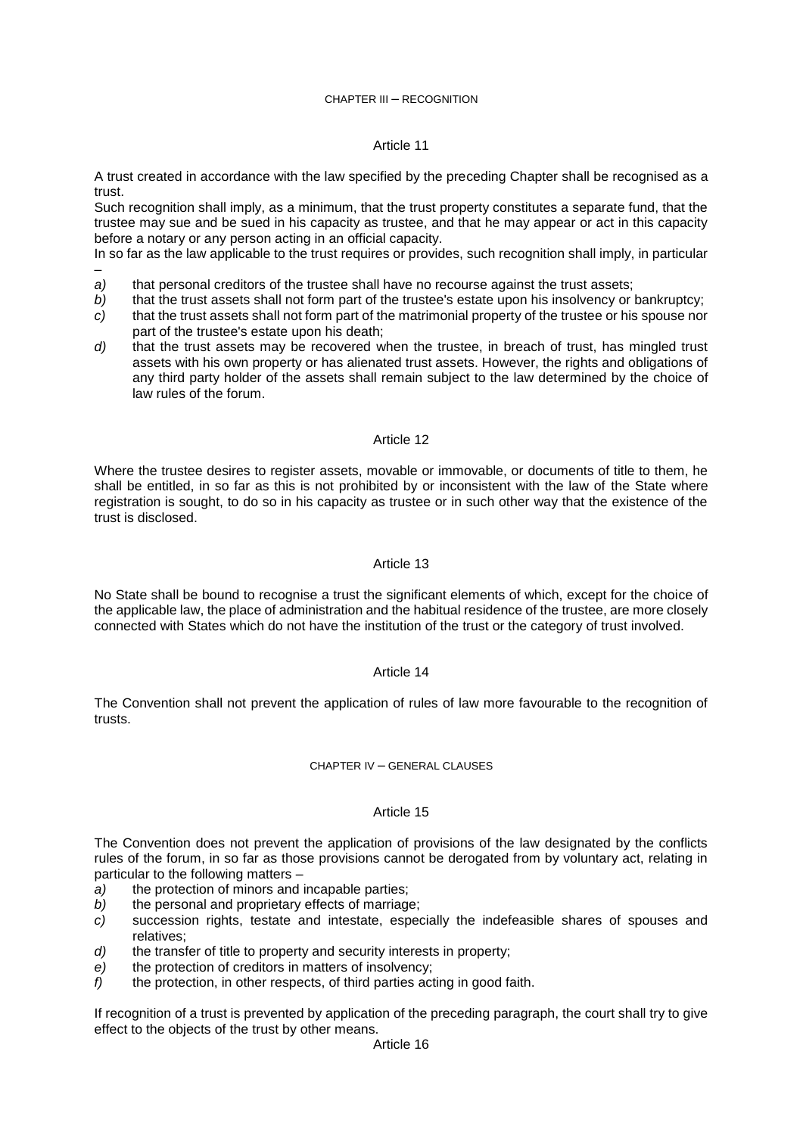# CHAPTER III – RECOGNITION

## Article 11

A trust created in accordance with the law specified by the preceding Chapter shall be recognised as a trust.

Such recognition shall imply, as a minimum, that the trust property constitutes a separate fund, that the trustee may sue and be sued in his capacity as trustee, and that he may appear or act in this capacity before a notary or any person acting in an official capacity.

In so far as the law applicable to the trust requires or provides, such recognition shall imply, in particular

- *a)* that personal creditors of the trustee shall have no recourse against the trust assets;
- *b)* that the trust assets shall not form part of the trustee's estate upon his insolvency or bankruptcy;
- *c)* that the trust assets shall not form part of the matrimonial property of the trustee or his spouse nor part of the trustee's estate upon his death;
- *d)* that the trust assets may be recovered when the trustee, in breach of trust, has mingled trust assets with his own property or has alienated trust assets. However, the rights and obligations of any third party holder of the assets shall remain subject to the law determined by the choice of law rules of the forum.

## Article 12

Where the trustee desires to register assets, movable or immovable, or documents of title to them, he shall be entitled, in so far as this is not prohibited by or inconsistent with the law of the State where registration is sought, to do so in his capacity as trustee or in such other way that the existence of the trust is disclosed.

### Article 13

No State shall be bound to recognise a trust the significant elements of which, except for the choice of the applicable law, the place of administration and the habitual residence of the trustee, are more closely connected with States which do not have the institution of the trust or the category of trust involved.

# Article 14

The Convention shall not prevent the application of rules of law more favourable to the recognition of trusts.

#### CHAPTER IV – GENERAL CLAUSES

### Article 15

The Convention does not prevent the application of provisions of the law designated by the conflicts rules of the forum, in so far as those provisions cannot be derogated from by voluntary act, relating in particular to the following matters –

- *a)* the protection of minors and incapable parties;
- *b)* the personal and proprietary effects of marriage;
- *c)* succession rights, testate and intestate, especially the indefeasible shares of spouses and relatives;
- *d)* the transfer of title to property and security interests in property;
- *e)* the protection of creditors in matters of insolvency;
- *f)* the protection, in other respects, of third parties acting in good faith.

If recognition of a trust is prevented by application of the preceding paragraph, the court shall try to give effect to the objects of the trust by other means.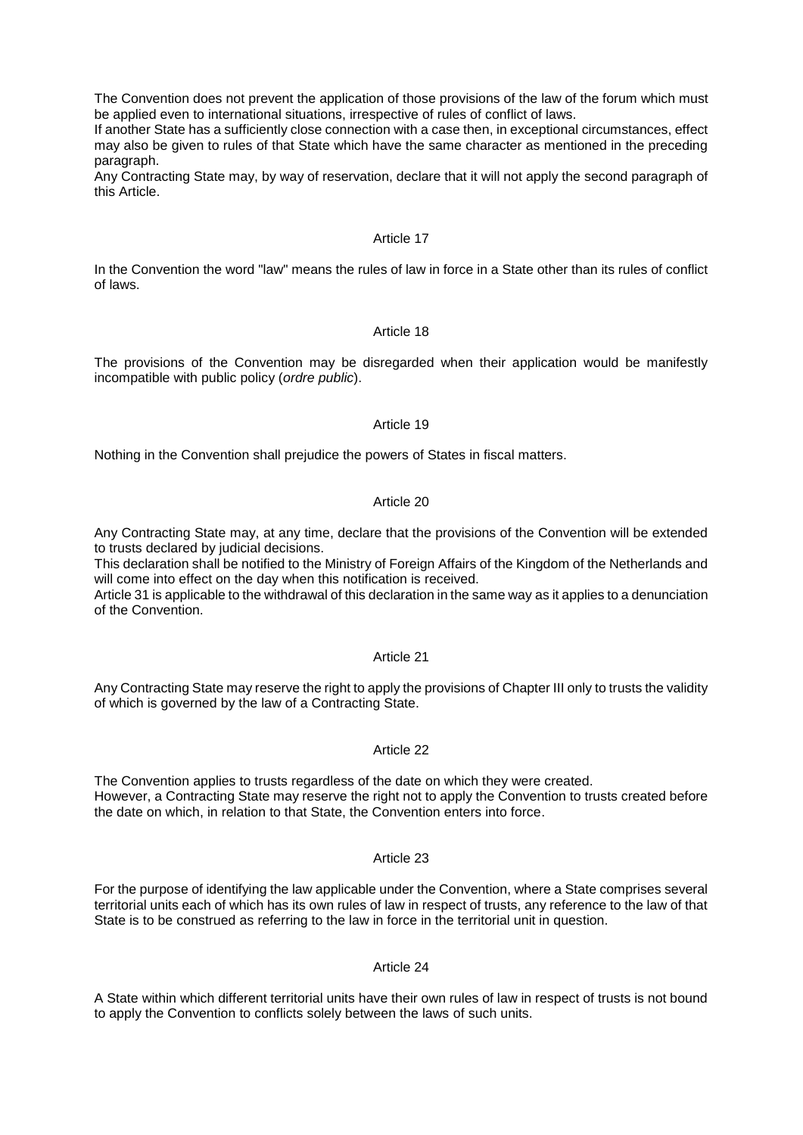The Convention does not prevent the application of those provisions of the law of the forum which must be applied even to international situations, irrespective of rules of conflict of laws.

If another State has a sufficiently close connection with a case then, in exceptional circumstances, effect may also be given to rules of that State which have the same character as mentioned in the preceding paragraph.

Any Contracting State may, by way of reservation, declare that it will not apply the second paragraph of this Article.

#### Article 17

In the Convention the word "law" means the rules of law in force in a State other than its rules of conflict of laws.

## Article 18

The provisions of the Convention may be disregarded when their application would be manifestly incompatible with public policy (*ordre public*).

### Article 19

Nothing in the Convention shall prejudice the powers of States in fiscal matters.

#### Article 20

Any Contracting State may, at any time, declare that the provisions of the Convention will be extended to trusts declared by judicial decisions.

This declaration shall be notified to the Ministry of Foreign Affairs of the Kingdom of the Netherlands and will come into effect on the day when this notification is received.

Article 31 is applicable to the withdrawal of this declaration in the same way as it applies to a denunciation of the Convention.

#### Article 21

Any Contracting State may reserve the right to apply the provisions of Chapter III only to trusts the validity of which is governed by the law of a Contracting State.

### Article 22

The Convention applies to trusts regardless of the date on which they were created. However, a Contracting State may reserve the right not to apply the Convention to trusts created before the date on which, in relation to that State, the Convention enters into force.

## Article 23

For the purpose of identifying the law applicable under the Convention, where a State comprises several territorial units each of which has its own rules of law in respect of trusts, any reference to the law of that State is to be construed as referring to the law in force in the territorial unit in question.

### Article 24

A State within which different territorial units have their own rules of law in respect of trusts is not bound to apply the Convention to conflicts solely between the laws of such units.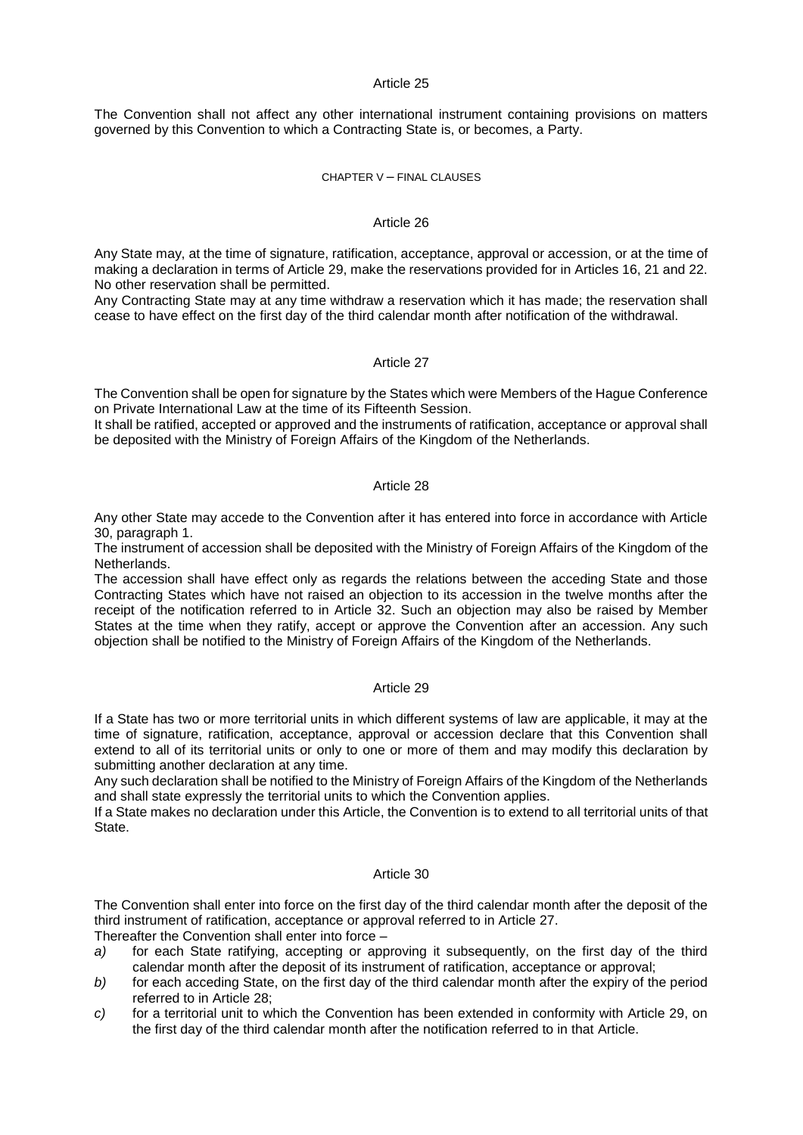#### Article 25

The Convention shall not affect any other international instrument containing provisions on matters governed by this Convention to which a Contracting State is, or becomes, a Party.

#### CHAPTER V – FINAL CLAUSES

#### Article 26

Any State may, at the time of signature, ratification, acceptance, approval or accession, or at the time of making a declaration in terms of Article 29, make the reservations provided for in Articles 16, 21 and 22. No other reservation shall be permitted.

Any Contracting State may at any time withdraw a reservation which it has made; the reservation shall cease to have effect on the first day of the third calendar month after notification of the withdrawal.

#### Article 27

The Convention shall be open for signature by the States which were Members of the Hague Conference on Private International Law at the time of its Fifteenth Session.

It shall be ratified, accepted or approved and the instruments of ratification, acceptance or approval shall be deposited with the Ministry of Foreign Affairs of the Kingdom of the Netherlands.

#### Article 28

Any other State may accede to the Convention after it has entered into force in accordance with Article 30, paragraph 1.

The instrument of accession shall be deposited with the Ministry of Foreign Affairs of the Kingdom of the Netherlands.

The accession shall have effect only as regards the relations between the acceding State and those Contracting States which have not raised an objection to its accession in the twelve months after the receipt of the notification referred to in Article 32. Such an objection may also be raised by Member States at the time when they ratify, accept or approve the Convention after an accession. Any such objection shall be notified to the Ministry of Foreign Affairs of the Kingdom of the Netherlands.

# Article 29

If a State has two or more territorial units in which different systems of law are applicable, it may at the time of signature, ratification, acceptance, approval or accession declare that this Convention shall extend to all of its territorial units or only to one or more of them and may modify this declaration by submitting another declaration at any time.

Any such declaration shall be notified to the Ministry of Foreign Affairs of the Kingdom of the Netherlands and shall state expressly the territorial units to which the Convention applies.

If a State makes no declaration under this Article, the Convention is to extend to all territorial units of that State.

### Article 30

The Convention shall enter into force on the first day of the third calendar month after the deposit of the third instrument of ratification, acceptance or approval referred to in Article 27.

Thereafter the Convention shall enter into force –

- *a)* for each State ratifying, accepting or approving it subsequently, on the first day of the third calendar month after the deposit of its instrument of ratification, acceptance or approval;
- *b)* for each acceding State, on the first day of the third calendar month after the expiry of the period referred to in Article 28;
- *c)* for a territorial unit to which the Convention has been extended in conformity with Article 29, on the first day of the third calendar month after the notification referred to in that Article.